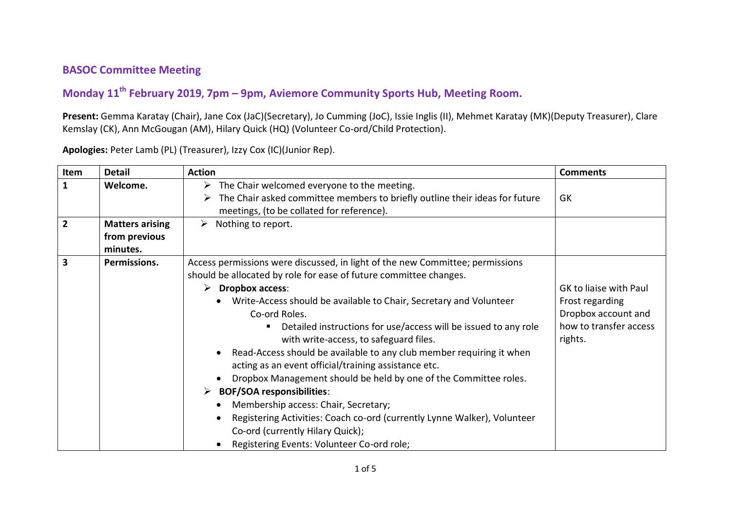## **BASOC Committee Meeting**

## **Monday 11th February 2019, 7pm – 9pm, Aviemore Community Sports Hub, Meeting Room.**

**Present:** Gemma Karatay (Chair), Jane Cox (JaC)(Secretary), Jo Cumming (JoC), Issie Inglis (II), Mehmet Karatay (MK)(Deputy Treasurer), Clare Kemslay (CK), Ann McGougan (AM), Hilary Quick (HQ) (Volunteer Co-ord/Child Protection).

| Item           | <b>Detail</b>          | <b>Action</b>                                                                   | <b>Comments</b>        |
|----------------|------------------------|---------------------------------------------------------------------------------|------------------------|
| $\mathbf{1}$   | Welcome.               | $\triangleright$ The Chair welcomed everyone to the meeting.                    |                        |
|                |                        | The Chair asked committee members to briefly outline their ideas for future     | GK                     |
|                |                        | meetings, (to be collated for reference).                                       |                        |
| $\overline{2}$ | <b>Matters arising</b> | Nothing to report.<br>➤                                                         |                        |
|                | from previous          |                                                                                 |                        |
|                | minutes.               |                                                                                 |                        |
| 3              | Permissions.           | Access permissions were discussed, in light of the new Committee; permissions   |                        |
|                |                        | should be allocated by role for ease of future committee changes.               |                        |
|                |                        | $\triangleright$ Dropbox access:                                                | GK to liaise with Paul |
|                |                        | Write-Access should be available to Chair, Secretary and Volunteer<br>$\bullet$ | Frost regarding        |
|                |                        | Co-ord Roles.                                                                   | Dropbox account and    |
|                |                        | Detailed instructions for use/access will be issued to any role                 | how to transfer access |
|                |                        | with write-access, to safeguard files.                                          | rights.                |
|                |                        | Read-Access should be available to any club member requiring it when            |                        |
|                |                        | acting as an event official/training assistance etc.                            |                        |
|                |                        | Dropbox Management should be held by one of the Committee roles.                |                        |
|                |                        | $\triangleright$ BOF/SOA responsibilities:                                      |                        |
|                |                        | Membership access: Chair, Secretary;                                            |                        |
|                |                        | Registering Activities: Coach co-ord (currently Lynne Walker), Volunteer        |                        |
|                |                        | Co-ord (currently Hilary Quick);                                                |                        |
|                |                        | Registering Events: Volunteer Co-ord role;                                      |                        |

**Apologies:** Peter Lamb (PL) (Treasurer), Izzy Cox (IC)(Junior Rep).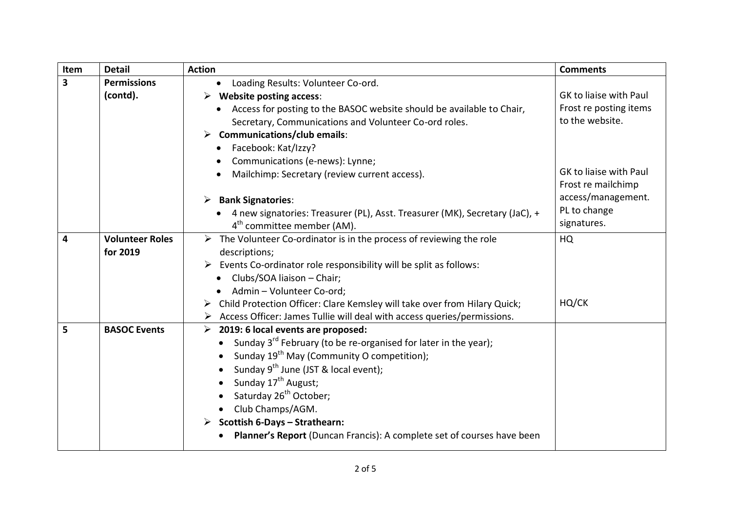| Item | <b>Detail</b>          | <b>Action</b>                                                                            | <b>Comments</b>        |
|------|------------------------|------------------------------------------------------------------------------------------|------------------------|
| 3    | <b>Permissions</b>     | Loading Results: Volunteer Co-ord.<br>$\bullet$                                          |                        |
|      | (contd).               | $\triangleright$ Website posting access:                                                 | GK to liaise with Paul |
|      |                        | Access for posting to the BASOC website should be available to Chair,                    | Frost re posting items |
|      |                        | Secretary, Communications and Volunteer Co-ord roles.                                    | to the website.        |
|      |                        | $\triangleright$ Communications/club emails:                                             |                        |
|      |                        | • Facebook: Kat/Izzy?                                                                    |                        |
|      |                        | Communications (e-news): Lynne;                                                          |                        |
|      |                        | Mailchimp: Secretary (review current access).                                            | GK to liaise with Paul |
|      |                        |                                                                                          | Frost re mailchimp     |
|      |                        | <b>Bank Signatories:</b>                                                                 | access/management.     |
|      |                        | 4 new signatories: Treasurer (PL), Asst. Treasurer (MK), Secretary (JaC), +              | PL to change           |
|      |                        | 4 <sup>th</sup> committee member (AM).                                                   | signatures.            |
| 4    | <b>Volunteer Roles</b> | $\triangleright$ The Volunteer Co-ordinator is in the process of reviewing the role      | HQ                     |
|      | for 2019               | descriptions;                                                                            |                        |
|      |                        | $\triangleright$ Events Co-ordinator role responsibility will be split as follows:       |                        |
|      |                        | Clubs/SOA liaison - Chair;<br>$\bullet$                                                  |                        |
|      |                        | Admin - Volunteer Co-ord;                                                                |                        |
|      |                        | Child Protection Officer: Clare Kemsley will take over from Hilary Quick;                | HQ/CK                  |
|      |                        | $\triangleright$ Access Officer: James Tullie will deal with access queries/permissions. |                        |
| 5    | <b>BASOC Events</b>    | 2019: 6 local events are proposed:<br>$\blacktriangleright$                              |                        |
|      |                        | • Sunday $3^{rd}$ February (to be re-organised for later in the year);                   |                        |
|      |                        | Sunday 19 <sup>th</sup> May (Community O competition);                                   |                        |
|      |                        | Sunday 9 <sup>th</sup> June (JST & local event);                                         |                        |
|      |                        | Sunday 17 <sup>th</sup> August;                                                          |                        |
|      |                        | Saturday 26 <sup>th</sup> October;                                                       |                        |
|      |                        | • Club Champs/AGM.                                                                       |                        |
|      |                        | Scottish 6-Days - Strathearn:                                                            |                        |
|      |                        | Planner's Report (Duncan Francis): A complete set of courses have been                   |                        |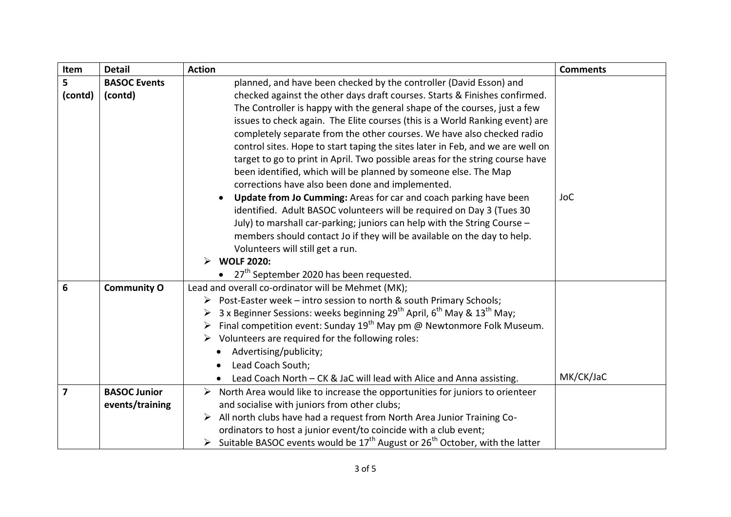| Item                    | <b>Detail</b>                                                                                                                                    | <b>Action</b>                                                                                                                | <b>Comments</b> |
|-------------------------|--------------------------------------------------------------------------------------------------------------------------------------------------|------------------------------------------------------------------------------------------------------------------------------|-----------------|
| 5                       | <b>BASOC Events</b>                                                                                                                              | planned, and have been checked by the controller (David Esson) and                                                           |                 |
| (contd)                 | (contd)                                                                                                                                          | checked against the other days draft courses. Starts & Finishes confirmed.                                                   |                 |
|                         |                                                                                                                                                  | The Controller is happy with the general shape of the courses, just a few                                                    |                 |
|                         |                                                                                                                                                  | issues to check again. The Elite courses (this is a World Ranking event) are                                                 |                 |
|                         | completely separate from the other courses. We have also checked radio                                                                           |                                                                                                                              |                 |
|                         | control sites. Hope to start taping the sites later in Feb, and we are well on                                                                   |                                                                                                                              |                 |
|                         | target to go to print in April. Two possible areas for the string course have<br>been identified, which will be planned by someone else. The Map |                                                                                                                              |                 |
|                         |                                                                                                                                                  | corrections have also been done and implemented.                                                                             |                 |
|                         |                                                                                                                                                  | Update from Jo Cumming: Areas for car and coach parking have been                                                            | <b>JoC</b>      |
|                         |                                                                                                                                                  | identified. Adult BASOC volunteers will be required on Day 3 (Tues 30                                                        |                 |
|                         |                                                                                                                                                  | July) to marshall car-parking; juniors can help with the String Course -                                                     |                 |
|                         |                                                                                                                                                  | members should contact Jo if they will be available on the day to help.                                                      |                 |
|                         |                                                                                                                                                  | Volunteers will still get a run.                                                                                             |                 |
|                         |                                                                                                                                                  | <b>WOLF 2020:</b><br>➤                                                                                                       |                 |
|                         |                                                                                                                                                  | 27 <sup>th</sup> September 2020 has been requested.                                                                          |                 |
| 6                       | <b>Community O</b>                                                                                                                               | Lead and overall co-ordinator will be Mehmet (MK);                                                                           |                 |
|                         |                                                                                                                                                  | Post-Easter week - intro session to north & south Primary Schools;<br>➤                                                      |                 |
|                         |                                                                                                                                                  | 3 x Beginner Sessions: weeks beginning 29 <sup>th</sup> April, 6 <sup>th</sup> May & 13 <sup>th</sup> May;<br>➤              |                 |
|                         |                                                                                                                                                  | Final competition event: Sunday $19^{th}$ May pm @ Newtonmore Folk Museum.<br>➤                                              |                 |
|                         |                                                                                                                                                  | $\triangleright$ Volunteers are required for the following roles:                                                            |                 |
|                         |                                                                                                                                                  | Advertising/publicity;                                                                                                       |                 |
|                         |                                                                                                                                                  | Lead Coach South;                                                                                                            | MK/CK/JaC       |
|                         |                                                                                                                                                  | Lead Coach North - CK & JaC will lead with Alice and Anna assisting.                                                         |                 |
| $\overline{\mathbf{z}}$ | <b>BASOC Junior</b>                                                                                                                              | North Area would like to increase the opportunities for juniors to orienteer<br>and socialise with juniors from other clubs; |                 |
|                         | events/training                                                                                                                                  | All north clubs have had a request from North Area Junior Training Co-                                                       |                 |
|                         |                                                                                                                                                  | ordinators to host a junior event/to coincide with a club event;                                                             |                 |
|                         |                                                                                                                                                  | Suitable BASOC events would be $17^{th}$ August or $26^{th}$ October, with the latter                                        |                 |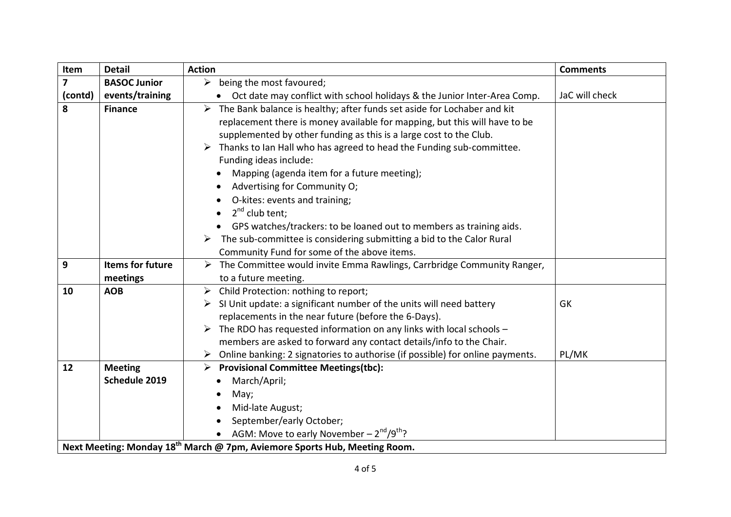| Item                    | <b>Detail</b>                                                                         | <b>Action</b>                                                                         | <b>Comments</b> |  |
|-------------------------|---------------------------------------------------------------------------------------|---------------------------------------------------------------------------------------|-----------------|--|
| $\overline{\mathbf{z}}$ | <b>BASOC Junior</b>                                                                   | $\triangleright$ being the most favoured;                                             |                 |  |
| (contd)                 | events/training                                                                       | Oct date may conflict with school holidays & the Junior Inter-Area Comp.<br>$\bullet$ | JaC will check  |  |
| 8                       | <b>Finance</b>                                                                        | The Bank balance is healthy; after funds set aside for Lochaber and kit<br>➤          |                 |  |
|                         |                                                                                       | replacement there is money available for mapping, but this will have to be            |                 |  |
|                         |                                                                                       | supplemented by other funding as this is a large cost to the Club.                    |                 |  |
|                         |                                                                                       | Thanks to Ian Hall who has agreed to head the Funding sub-committee.                  |                 |  |
|                         |                                                                                       | Funding ideas include:                                                                |                 |  |
|                         |                                                                                       | Mapping (agenda item for a future meeting);                                           |                 |  |
|                         |                                                                                       | Advertising for Community O;                                                          |                 |  |
|                         |                                                                                       | O-kites: events and training;                                                         |                 |  |
|                         |                                                                                       | 2 <sup>nd</sup> club tent;                                                            |                 |  |
|                         |                                                                                       | GPS watches/trackers: to be loaned out to members as training aids.                   |                 |  |
|                         |                                                                                       | $\triangleright$ The sub-committee is considering submitting a bid to the Calor Rural |                 |  |
|                         |                                                                                       | Community Fund for some of the above items.                                           |                 |  |
| 9                       | <b>Items for future</b>                                                               | The Committee would invite Emma Rawlings, Carrbridge Community Ranger,<br>➤           |                 |  |
|                         | meetings                                                                              | to a future meeting.                                                                  |                 |  |
| 10                      | <b>AOB</b>                                                                            | Child Protection: nothing to report;<br>➤                                             |                 |  |
|                         |                                                                                       | SI Unit update: a significant number of the units will need battery                   | GK              |  |
|                         |                                                                                       | replacements in the near future (before the 6-Days).                                  |                 |  |
|                         |                                                                                       | The RDO has requested information on any links with local schools -                   |                 |  |
|                         |                                                                                       | members are asked to forward any contact details/info to the Chair.                   |                 |  |
|                         |                                                                                       | Online banking: 2 signatories to authorise (if possible) for online payments.         | PL/MK           |  |
| 12                      | <b>Meeting</b>                                                                        | <b>Provisional Committee Meetings(tbc):</b><br>➤                                      |                 |  |
|                         | Schedule 2019                                                                         | March/April;                                                                          |                 |  |
|                         |                                                                                       | May;                                                                                  |                 |  |
|                         |                                                                                       | Mid-late August;                                                                      |                 |  |
|                         |                                                                                       | September/early October;                                                              |                 |  |
|                         |                                                                                       | • AGM: Move to early November $-2^{nd}/9^{th}$ ?                                      |                 |  |
|                         | Next Meeting: Monday 18 <sup>th</sup> March @ 7pm, Aviemore Sports Hub, Meeting Room. |                                                                                       |                 |  |